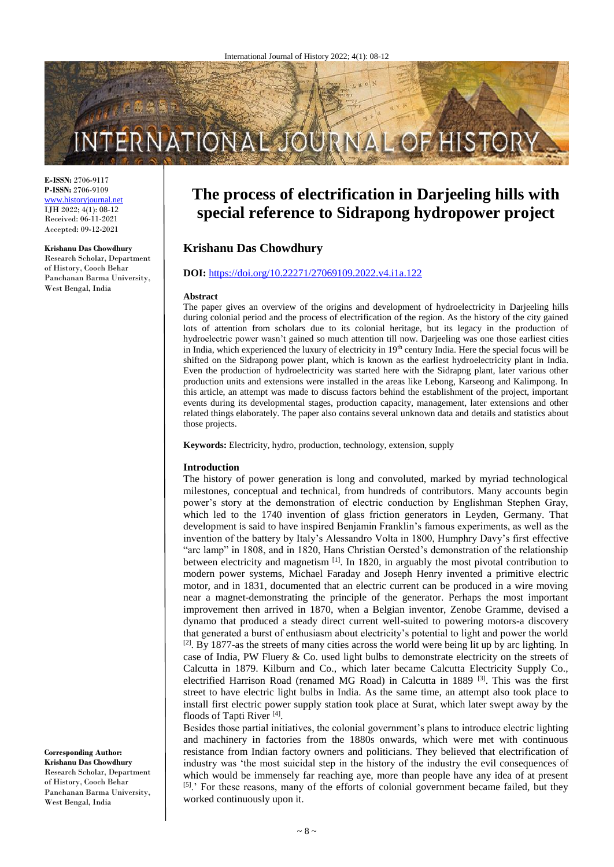# INTERNATIONAL JO HISTO

**E-ISSN:** 2706-9117 **P-ISSN:** 2706-9109 [www.historyjournal.net](http://www.historyjournal.net/) IJH 2022; 4(1): 08-12 Received: 06-11-2021 Accepted: 09-12-2021

#### **Krishanu Das Chowdhury** Research Scholar, Department of History, Cooch Behar Panchanan Barma University, West Bengal, India

# **The process of electrification in Darjeeling hills with special reference to Sidrapong hydropower project**

# **Krishanu Das Chowdhury**

### **DOI:** <https://doi.org/10.22271/27069109.2022.v4.i1a.122>

#### **Abstract**

The paper gives an overview of the origins and development of hydroelectricity in Darjeeling hills during colonial period and the process of electrification of the region. As the history of the city gained lots of attention from scholars due to its colonial heritage, but its legacy in the production of hydroelectric power wasn't gained so much attention till now. Darjeeling was one those earliest cities in India, which experienced the luxury of electricity in  $19<sup>th</sup>$  century India. Here the special focus will be shifted on the Sidrapong power plant, which is known as the earliest hydroelectricity plant in India. Even the production of hydroelectricity was started here with the Sidrapng plant, later various other production units and extensions were installed in the areas like Lebong, Karseong and Kalimpong. In this article, an attempt was made to discuss factors behind the establishment of the project, important events during its developmental stages, production capacity, management, later extensions and other related things elaborately. The paper also contains several unknown data and details and statistics about those projects.

**Keywords:** Electricity, hydro, production, technology, extension, supply

#### **Introduction**

The history of power generation is long and convoluted, marked by myriad technological milestones, conceptual and technical, from hundreds of contributors. Many accounts begin power's story at the demonstration of electric conduction by Englishman Stephen Gray, which led to the 1740 invention of glass friction generators in Leyden, Germany. That development is said to have inspired Benjamin Franklin's famous experiments, as well as the invention of the battery by Italy's Alessandro Volta in 1800, Humphry Davy's first effective "arc lamp" in 1808, and in 1820, Hans Christian Oersted's demonstration of the relationship between electricity and magnetism <sup>[1]</sup>. In 1820, in arguably the most pivotal contribution to modern power systems, Michael Faraday and Joseph Henry invented a primitive electric motor, and in 1831, documented that an electric current can be produced in a wire moving near a magnet-demonstrating the principle of the generator. Perhaps the most important improvement then arrived in 1870, when a Belgian inventor, Zenobe Gramme, devised a dynamo that produced a steady direct current well-suited to powering motors-a discovery that generated a burst of enthusiasm about electricity's potential to light and power the world <sup>[2]</sup>. By 1877-as the streets of many cities across the world were being lit up by arc lighting. In case of India, PW Fluery & Co. used light bulbs to demonstrate electricity on the streets of Calcutta in 1879. Kilburn and Co., which later became Calcutta Electricity Supply Co., electrified Harrison Road (renamed MG Road) in Calcutta in 1889  $[3]$ . This was the first street to have electric light bulbs in India. As the same time, an attempt also took place to install first electric power supply station took place at Surat, which later swept away by the floods of Tapti River<sup>[4]</sup>.

Besides those partial initiatives, the colonial government's plans to introduce electric lighting and machinery in factories from the 1880s onwards, which were met with continuous resistance from Indian factory owners and politicians. They believed that electrification of industry was 'the most suicidal step in the history of the industry the evil consequences of which would be immensely far reaching aye, more than people have any idea of at present [5].' For these reasons, many of the efforts of colonial government became failed, but they worked continuously upon it.

## **Corresponding Author:**

**Krishanu Das Chowdhury** Research Scholar, Department of History, Cooch Behar Panchanan Barma University, West Bengal, India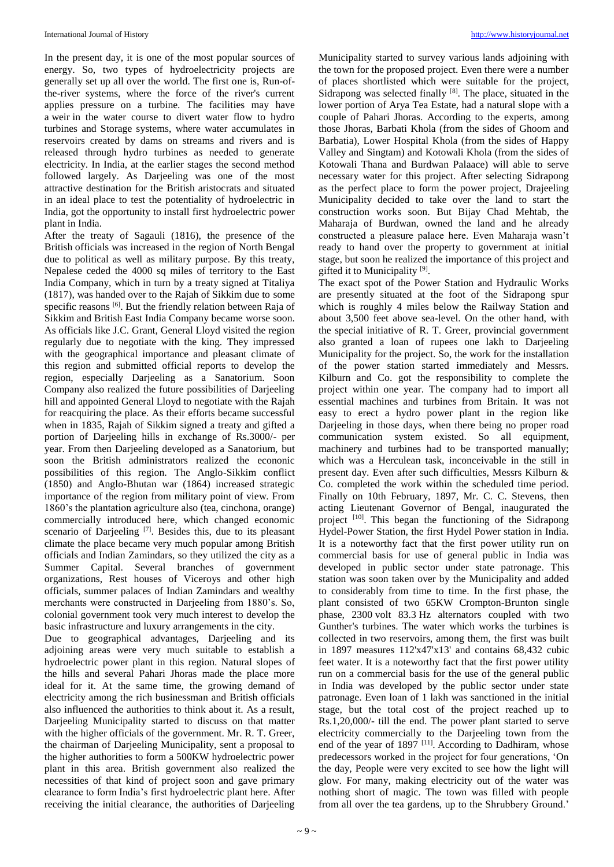In the present day, it is one of the most popular sources of energy. So, two types of hydroelectricity projects are generally set up all over the world. The first one is, Run-ofthe-river systems, where the force of the river's current applies pressure on a turbine. The facilities may have a weir in the water course to divert water flow to hydro turbines and Storage systems, where water accumulates in reservoirs created by dams on streams and rivers and is released through hydro turbines as needed to generate electricity. In India, at the earlier stages the second method followed largely. As Darieeling was one of the most attractive destination for the British aristocrats and situated in an ideal place to test the potentiality of hydroelectric in India, got the opportunity to install first hydroelectric power plant in India.

After the treaty of Sagauli (1816), the presence of the British officials was increased in the region of North Bengal due to political as well as military purpose. By this treaty, Nepalese ceded the 4000 sq miles of territory to the East India Company, which in turn by a treaty signed at Titaliya (1817), was handed over to the Rajah of Sikkim due to some specific reasons [6]. But the friendly relation between Raja of Sikkim and British East India Company became worse soon. As officials like J.C. Grant, General Lloyd visited the region regularly due to negotiate with the king. They impressed with the geographical importance and pleasant climate of this region and submitted official reports to develop the region, especially Darjeeling as a Sanatorium. Soon Company also realized the future possibilities of Darjeeling hill and appointed General Lloyd to negotiate with the Rajah for reacquiring the place. As their efforts became successful when in 1835, Rajah of Sikkim signed a treaty and gifted a portion of Darjeeling hills in exchange of Rs.3000/- per year. From then Darjeeling developed as a Sanatorium, but soon the British administrators realized the econonic possibilities of this region. The Anglo-Sikkim conflict (1850) and Anglo-Bhutan war (1864) increased strategic importance of the region from military point of view. From 1860's the plantation agriculture also (tea, cinchona, orange) commercially introduced here, which changed economic scenario of Darjeeling <sup>[7]</sup>. Besides this, due to its pleasant climate the place became very much popular among British officials and Indian Zamindars, so they utilized the city as a Summer Capital. Several branches of government organizations, Rest houses of Viceroys and other high officials, summer palaces of Indian Zamindars and wealthy merchants were constructed in Darjeeling from 1880's. So, colonial government took very much interest to develop the basic infrastructure and luxury arrangements in the city.

Due to geographical advantages, Darjeeling and its adjoining areas were very much suitable to establish a hydroelectric power plant in this region. Natural slopes of the hills and several Pahari Jhoras made the place more ideal for it. At the same time, the growing demand of electricity among the rich businessman and British officials also influenced the authorities to think about it. As a result, Darjeeling Municipality started to discuss on that matter with the higher officials of the government. Mr. R. T. Greer, the chairman of Darjeeling Municipality, sent a proposal to the higher authorities to form a 500KW hydroelectric power plant in this area. British government also realized the necessities of that kind of project soon and gave primary clearance to form India's first hydroelectric plant here. After receiving the initial clearance, the authorities of Darjeeling

Municipality started to survey various lands adjoining with the town for the proposed project. Even there were a number of places shortlisted which were suitable for the project, Sidrapong was selected finally [8]. The place, situated in the lower portion of Arya Tea Estate, had a natural slope with a couple of Pahari Jhoras. According to the experts, among those Jhoras, Barbati Khola (from the sides of Ghoom and Barbatia), Lower Hospital Khola (from the sides of Happy Valley and Singtam) and Kotowali Khola (from the sides of Kotowali Thana and Burdwan Palaace) will able to serve necessary water for this project. After selecting Sidrapong as the perfect place to form the power project, Drajeeling Municipality decided to take over the land to start the construction works soon. But Bijay Chad Mehtab, the Maharaja of Burdwan, owned the land and he already constructed a pleasure palace here. Even Maharaja wasn't ready to hand over the property to government at initial stage, but soon he realized the importance of this project and gifted it to Municipality<sup>[9]</sup>.

The exact spot of the Power Station and Hydraulic Works are presently situated at the foot of the Sidrapong spur which is roughly 4 miles below the Railway Station and about 3,500 feet above sea-level. On the other hand, with the special initiative of R. T. Greer, provincial government also granted a loan of rupees one lakh to Darjeeling Municipality for the project. So, the work for the installation of the power station started immediately and Messrs. Kilburn and Co. got the responsibility to complete the project within one year. The company had to import all essential machines and turbines from Britain. It was not easy to erect a hydro power plant in the region like Darjeeling in those days, when there being no proper road communication system existed. So all equipment, machinery and turbines had to be transported manually; which was a Herculean task, inconceivable in the still in present day. Even after such difficulties, Messrs Kilburn & Co. completed the work within the scheduled time period. Finally on 10th February, 1897, Mr. C. C. Stevens, then acting Lieutenant Governor of Bengal, inaugurated the project <sup>[10]</sup>. This began the functioning of the Sidrapong Hydel-Power Station, the first Hydel Power station in India. It is a noteworthy fact that the first power utility run on commercial basis for use of general public in India was developed in public sector under state patronage. This station was soon taken over by the Municipality and added to considerably from time to time. In the first phase, the plant consisted of two 65KW Crompton-Brunton single phase, 2300 volt 83.3 Hz alternators coupled with two Gunther's turbines. The water which works the turbines is collected in two reservoirs, among them, the first was built in 1897 measures 112'x47'x13' and contains 68,432 cubic feet water. It is a noteworthy fact that the first power utility run on a commercial basis for the use of the general public in India was developed by the public sector under state patronage. Even loan of 1 lakh was sanctioned in the initial stage, but the total cost of the project reached up to Rs.1,20,000/- till the end. The power plant started to serve electricity commercially to the Darjeeling town from the end of the year of  $1897$ <sup>[11]</sup>. According to Dadhiram, whose predecessors worked in the project for four generations, 'On the day, People were very excited to see how the light will glow. For many, making electricity out of the water was nothing short of magic. The town was filled with people from all over the tea gardens, up to the Shrubbery Ground.'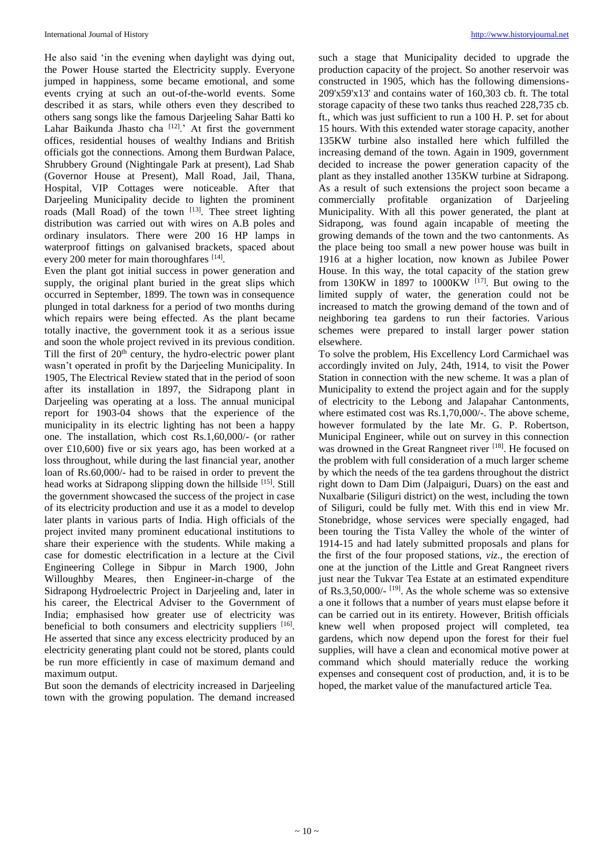He also said 'in the evening when daylight was dying out, the Power House started the Electricity supply. Everyone jumped in happiness, some became emotional, and some events crying at such an out-of-the-world events. Some described it as stars, while others even they described to others sang songs like the famous Darjeeling Sahar Batti ko Lahar Baikunda Jhasto cha <a>[12]</a>.' At first the government offices, residential houses of wealthy Indians and British officials got the connections. Among them Burdwan Palace, Shrubbery Ground (Nightingale Park at present), Lad Shab (Governor House at Present), Mall Road, Jail, Thana, Hospital, VIP Cottages were noticeable. After that Darieeling Municipality decide to lighten the prominent roads (Mall Road) of the town [13]. Thee street lighting distribution was carried out with wires on A.B poles and ordinary insulators. There were 200 16 HP lamps in waterproof fittings on galvanised brackets, spaced about every 200 meter for main thoroughfares [14].

Even the plant got initial success in power generation and supply, the original plant buried in the great slips which occurred in September, 1899. The town was in consequence plunged in total darkness for a period of two months during which repairs were being effected. As the plant became totally inactive, the government took it as a serious issue and soon the whole project revived in its previous condition. Till the first of 20<sup>th</sup> century, the hydro-electric power plant wasn't operated in profit by the Darjeeling Municipality. In 1905, The Electrical Review stated that in the period of soon after its installation in 1897, the Sidrapong plant in Darjeeling was operating at a loss. The annual municipal report for 1903-04 shows that the experience of the municipality in its electric lighting has not been a happy one. The installation, which cost Rs.1,60,000/- (or rather over £10,600) five or six years ago, has been worked at a loss throughout, while during the last financial year, another loan of Rs.60,000/- had to be raised in order to prevent the head works at Sidrapong slipping down the hillside [15]. Still the government showcased the success of the project in case of its electricity production and use it as a model to develop later plants in various parts of India. High officials of the project invited many prominent educational institutions to share their experience with the students. While making a case for domestic electrification in a lecture at the Civil Engineering College in Sibpur in March 1900, John Willoughby Meares, then Engineer-in-charge of the Sidrapong Hydroelectric Project in Darjeeling and, later in his career, the Electrical Adviser to the Government of India; emphasised how greater use of electricity was beneficial to both consumers and electricity suppliers [16]. He asserted that since any excess electricity produced by an electricity generating plant could not be stored, plants could be run more efficiently in case of maximum demand and maximum output.

But soon the demands of electricity increased in Darjeeling town with the growing population. The demand increased

such a stage that Municipality decided to upgrade the production capacity of the project. So another reservoir was constructed in 1905, which has the following dimensions-209'x59'x13' and contains water of 160,303 cb. ft. The total storage capacity of these two tanks thus reached 228,735 cb. ft., which was just sufficient to run a 100 H. P. set for about 15 hours. With this extended water storage capacity, another 135KW turbine also installed here which fulfilled the increasing demand of the town. Again in 1909, government decided to increase the power generation capacity of the plant as they installed another 135KW turbine at Sidrapong. As a result of such extensions the project soon became a commercially profitable organization of Darjeeling Municipality. With all this power generated, the plant at Sidrapong, was found again incapable of meeting the growing demands of the town and the two cantonments. As the place being too small a new power house was built in 1916 at a higher location, now known as Jubilee Power House. In this way, the total capacity of the station grew from 130KW in 1897 to 1000KW  $^{[17]}$ . But owing to the limited supply of water, the generation could not be increased to match the growing demand of the town and of neighboring tea gardens to run their factories. Various schemes were prepared to install larger power station elsewhere.

To solve the problem, His Excellency Lord Carmichael was accordingly invited on July, 24th, 1914, to visit the Power Station in connection with the new scheme. It was a plan of Municipality to extend the project again and for the supply of electricity to the Lebong and Jalapahar Cantonments, where estimated cost was Rs.1,70,000/-. The above scheme, however formulated by the late Mr. G. P. Robertson, Municipal Engineer, while out on survey in this connection was drowned in the Great Rangneet river [18]. He focused on the problem with full consideration of a much larger scheme by which the needs of the tea gardens throughout the district right down to Dam Dim (Jalpaiguri, Duars) on the east and Nuxalbarie (Siliguri district) on the west, including the town of Siliguri, could be fully met. With this end in view Mr. Stonebridge, whose services were specially engaged, had been touring the Tista Valley the whole of the winter of 1914-15 and had lately submitted proposals and plans for the first of the four proposed stations, *viz*., the erection of one at the junction of the Little and Great Rangneet rivers just near the Tukvar Tea Estate at an estimated expenditure of Rs.3,50,000/- $^{[19]}$ . As the whole scheme was so extensive a one it follows that a number of years must elapse before it can be carried out in its entirety. However, British officials knew well when proposed project will completed, tea gardens, which now depend upon the forest for their fuel supplies, will have a clean and economical motive power at command which should materially reduce the working expenses and consequent cost of production, and, it is to be hoped, the market value of the manufactured article Tea.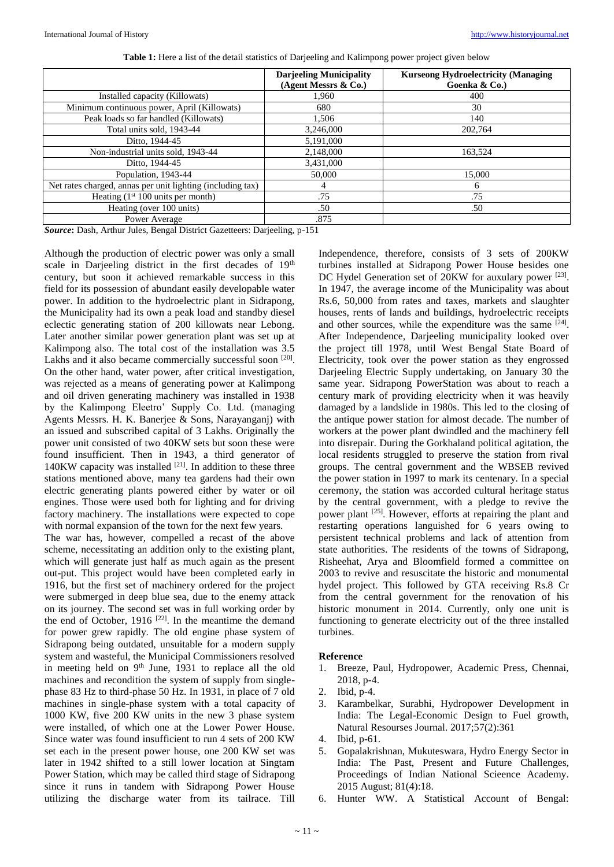|                                                            | <b>Darjeeling Municipality</b><br>(Agent Messrs & Co.) | <b>Kurseong Hydroelectricity (Managing)</b><br>Goenka & Co.) |
|------------------------------------------------------------|--------------------------------------------------------|--------------------------------------------------------------|
| Installed capacity (Killowats)                             | 1.960                                                  | 400                                                          |
| Minimum continuous power, April (Killowats)                | 680                                                    | 30                                                           |
| Peak loads so far handled (Killowats)                      | 1.506                                                  | 140                                                          |
| Total units sold, 1943-44                                  | 3.246,000                                              | 202,764                                                      |
| Ditto, 1944-45                                             | 5,191,000                                              |                                                              |
| Non-industrial units sold, 1943-44                         | 2,148,000                                              | 163.524                                                      |
| Ditto, 1944-45                                             | 3,431,000                                              |                                                              |
| Population, 1943-44                                        | 50,000                                                 | 15,000                                                       |
| Net rates charged, annas per unit lighting (including tax) | 4                                                      | 6                                                            |
| Heating $(1st 100 units per month)$                        | .75                                                    | .75                                                          |
| Heating (over 100 units)                                   | .50                                                    | .50                                                          |
| Power Average                                              | .875                                                   |                                                              |

**Table 1:** Here a list of the detail statistics of Darjeeling and Kalimpong power project given below

*Source***:** Dash, Arthur Jules, Bengal District Gazetteers: Darjeeling, p-151

Although the production of electric power was only a small scale in Darjeeling district in the first decades of 19<sup>th</sup> century, but soon it achieved remarkable success in this field for its possession of abundant easily developable water power. In addition to the hydroelectric plant in Sidrapong, the Municipality had its own a peak load and standby diesel eclectic generating station of 200 killowats near Lebong. Later another similar power generation plant was set up at Kalimpong also. The total cost of the installation was 3.5 Lakhs and it also became commercially successful soon [20]. On the other hand, water power, after critical investigation, was rejected as a means of generating power at Kalimpong and oil driven generating machinery was installed in 1938 by the Kalimpong Eleetro' Supply Co. Ltd. (managing Agents Messrs. H. K. Banerjee & Sons, Narayanganj) with an issued and subscribed capital of 3 Lakhs. Originally the power unit consisted of two 40KW sets but soon these were found insufficient. Then in 1943, a third generator of  $140KW$  capacity was installed  $[21]$ . In addition to these three stations mentioned above, many tea gardens had their own electric generating plants powered either by water or oil engines. Those were used both for lighting and for driving factory machinery. The installations were expected to cope with normal expansion of the town for the next few years.

The war has, however, compelled a recast of the above scheme, necessitating an addition only to the existing plant, which will generate just half as much again as the present out-put. This project would have been completed early in 1916, but the first set of machinery ordered for the project were submerged in deep blue sea, due to the enemy attack on its journey. The second set was in full working order by the end of October,  $1916$ <sup>[22]</sup>. In the meantime the demand for power grew rapidly. The old engine phase system of Sidrapong being outdated, unsuitable for a modern supply system and wasteful, the Municipal Commissioners resolved in meeting held on  $9<sup>th</sup>$  June, 1931 to replace all the old machines and recondition the system of supply from singlephase 83 Hz to third-phase 50 Hz. In 1931, in place of 7 old machines in single-phase system with a total capacity of 1000 KW, five 200 KW units in the new 3 phase system were installed, of which one at the Lower Power House. Since water was found insufficient to run 4 sets of 200 KW set each in the present power house, one 200 KW set was later in 1942 shifted to a still lower location at Singtam Power Station, which may be called third stage of Sidrapong since it runs in tandem with Sidrapong Power House utilizing the discharge water from its tailrace. Till

Independence, therefore, consists of 3 sets of 200KW turbines installed at Sidrapong Power House besides one DC Hydel Generation set of 20KW for auxulary power [23]. In 1947, the average income of the Municipality was about Rs.6, 50,000 from rates and taxes, markets and slaughter houses, rents of lands and buildings, hydroelectric receipts and other sources, while the expenditure was the same [24]. After Independence, Darjeeling municipality looked over the project till 1978, until West Bengal State Board of Electricity, took over the power station as they engrossed Darjeeling Electric Supply undertaking, on January 30 the same year. Sidrapong PowerStation was about to reach a century mark of providing electricity when it was heavily damaged by a landslide in 1980s. This led to the closing of the antique power station for almost decade. The number of workers at the power plant dwindled and the machinery fell into disrepair. During the Gorkhaland political agitation, the local residents struggled to preserve the station from rival groups. The central government and the WBSEB revived the power station in 1997 to mark its centenary. In a special ceremony, the station was accorded cultural heritage status by the central government, with a pledge to revive the power plant  $^{[25]}$ . However, efforts at repairing the plant and restarting operations languished for 6 years owing to persistent technical problems and lack of attention from state authorities. The residents of the towns of Sidrapong, Risheehat, Arya and Bloomfield formed a committee on 2003 to revive and resuscitate the historic and monumental hydel project. This followed by GTA receiving Rs.8 Cr from the central government for the renovation of his historic monument in 2014. Currently, only one unit is functioning to generate electricity out of the three installed turbines.

#### **Reference**

- 1. Breeze, Paul, Hydropower, Academic Press, Chennai, 2018, p-4.
- 2. Ibid, p-4.
- 3. Karambelkar, Surabhi, Hydropower Development in India: The Legal-Economic Design to Fuel growth, Natural Resourses Journal. 2017;57(2):361
- 4. Ibid, p-61.<br>5. Gopalakris
- 5. Gopalakrishnan, Mukuteswara, Hydro Energy Sector in India: The Past, Present and Future Challenges, Proceedings of Indian National Scieence Academy. 2015 August; 81(4):18.
- 6. Hunter WW. A Statistical Account of Bengal: